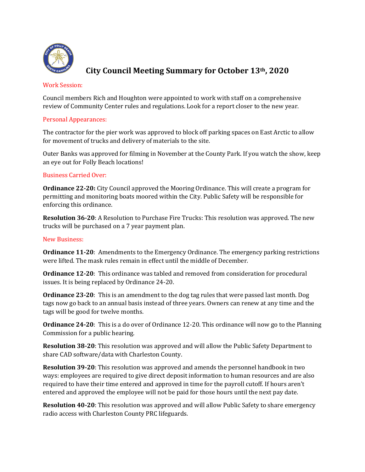

# **City Council Meeting Summary for October 13th, 2020**

#### Work Session:

Council members Rich and Houghton were appointed to work with staff on a comprehensive review of Community Center rules and regulations. Look for a report closer to the new year.

## Personal Appearances:

The contractor for the pier work was approved to block off parking spaces on East Arctic to allow for movement of trucks and delivery of materials to the site.

Outer Banks was approved for filming in November at the County Park. If you watch the show, keep an eye out for Folly Beach locations!

## Business Carried Over:

**Ordinance 22-20:** City Council approved the Mooring Ordinance. This will create a program for permitting and monitoring boats moored within the City. Public Safety will be responsible for enforcing this ordinance.

**Resolution 36-20**: A Resolution to Purchase Fire Trucks: This resolution was approved. The new trucks will be purchased on a 7 year payment plan.

#### New Business:

**Ordinance 11-20**: Amendments to the Emergency Ordinance. The emergency parking restrictions were lifted. The mask rules remain in effect until the middle of December.

**Ordinance 12-20**: This ordinance was tabled and removed from consideration for procedural issues. It is being replaced by Ordinance 24-20.

**Ordinance 23-20**: This is an amendment to the dog tag rules that were passed last month. Dog tags now go back to an annual basis instead of three years. Owners can renew at any time and the tags will be good for twelve months.

**Ordinance 24-20**: This is a do over of Ordinance 12-20. This ordinance will now go to the Planning Commission for a public hearing.

**Resolution 38-20**: This resolution was approved and will allow the Public Safety Department to share CAD software/data with Charleston County.

**Resolution 39-20**: This resolution was approved and amends the personnel handbook in two ways: employees are required to give direct deposit information to human resources and are also required to have their time entered and approved in time for the payroll cutoff. If hours aren't entered and approved the employee will not be paid for those hours until the next pay date.

**Resolution 40-20**: This resolution was approved and will allow Public Safety to share emergency radio access with Charleston County PRC lifeguards.